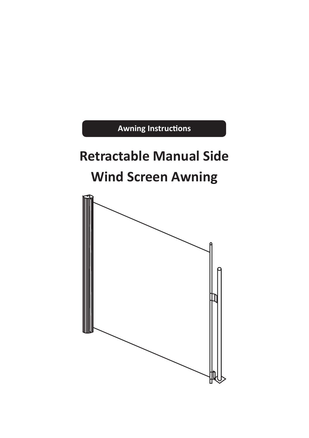# **Awning Instructions Retractable Manual Side Wind Screen Awning**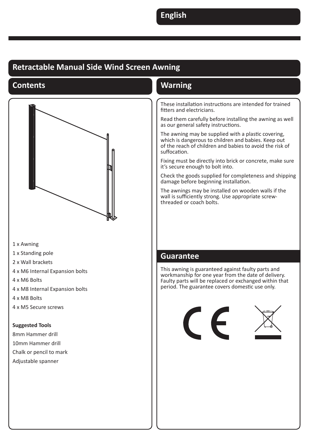# **Retractable Manual Side Wind Screen Awning**

## **Contents Warning**



1 x Awning

- 1 x Standing pole
- 2 x Wall brackets
- 4 x M6 Internal Expansion bolts
- 4 x M6 Bolts
- 4 x M8 Internal Expansion bolts
- 4 x M8 Bolts
- 4 x M5 Secure screws

#### **Suggested Tools**

8mm Hammer drill 10mm Hammer drill Chalk or pencil to mark Adjustable spanner

These installation instructions are intended for trained fitters and electricians.

Read them carefully before installing the awning as well as our general safety instructions.

The awning may be supplied with a plastic covering, which is dangerous to children and babies. Keep out of the reach of children and babies to avoid the risk of suffocation.

Fixing must be directly into brick or concrete, make sure it's secure enough to bolt into.

Check the goods supplied for completeness and shipping damage before beginning installation.

The awnings may be installed on wooden walls if the wall is sufficiently strong. Use appropriate screwthreaded or coach bolts.

#### **Guarantee**

This awning is guaranteed against faulty parts and workmanship for one year from the date of delivery. Faulty parts will be replaced or exchanged within that period. The guarantee covers domestic use only.

 $\epsilon$ 

12 22 23 24 25 26 27 28 29 29 20 21 22 23 24 25 26 27 28 29 20 21 22 23 24 25 26 27 28 29 29 20 21 22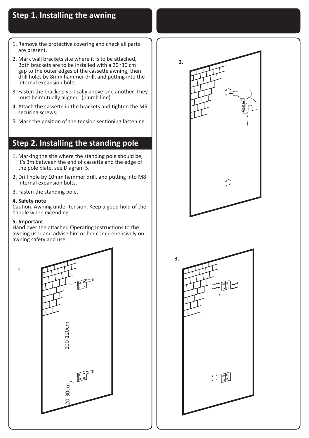# **Step 1. Installing the awning**

- 1. Remove the protective covering and check all parts are present.
- 2. Mark wall brackets site where it is to be attached, Both brackets are to be installed with a 20~30 cm gap to the outer edges of the cassette awning, then drill holes by 8mm hammer drill, and putting into the internal expansion bolts.
- 3. Fasten the brackets vertically above one another. They must be mutually aligned. (plumb line).
- 4. Attach the cassette in the brackets and tighten the M5 securing screws.
- 5. Mark the position of the tension sectioning fastening

# **Step 2. Installing the standing pole** m

- 1. Marking the site where the standing pole should be, it's 3m between the end of cassette and the edge of the pole plate, see Diagram 5. e t<br>1d<br>gr
- 2. Drill hole by 10mm hammer drill, and putting into M8 internal expansion bolts.
- 3. Fasten the standing pole.

#### **4. Safety note**

Caution. Awning under tension. Keep a good hold of the handle when extending.

#### **5. Important**

**1.**

handle when extending.<br>**5. Important**<br>Hand over the attached Operating Instructions to the awning user and advise him or her comprehensively on awning safety and use.



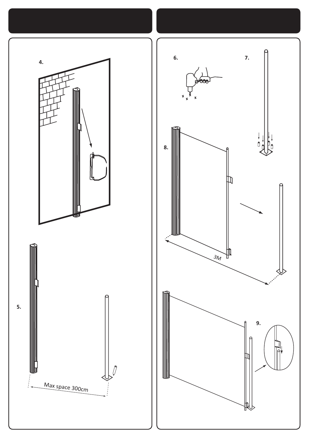